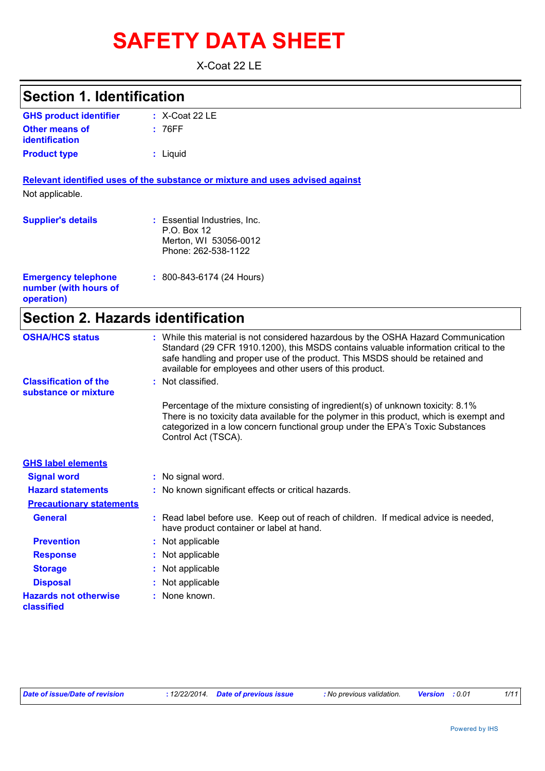# **SAFETY DATA SHEET**

X-Coat 22 LE

| <b>Section 1. Identification</b>                                  |                                                                                                                                                                                                                                                                                                                         |
|-------------------------------------------------------------------|-------------------------------------------------------------------------------------------------------------------------------------------------------------------------------------------------------------------------------------------------------------------------------------------------------------------------|
| <b>GHS product identifier</b>                                     | $: X$ -Coat 22 LE                                                                                                                                                                                                                                                                                                       |
| <b>Other means of</b><br><b>identification</b>                    | : 76FF                                                                                                                                                                                                                                                                                                                  |
| <b>Product type</b>                                               | : Liquid                                                                                                                                                                                                                                                                                                                |
|                                                                   | Relevant identified uses of the substance or mixture and uses advised against                                                                                                                                                                                                                                           |
| Not applicable.                                                   |                                                                                                                                                                                                                                                                                                                         |
| <b>Supplier's details</b>                                         | : Essential Industries, Inc.<br>P.O. Box 12<br>Merton, WI 53056-0012<br>Phone: 262-538-1122                                                                                                                                                                                                                             |
| <b>Emergency telephone</b><br>number (with hours of<br>operation) | $: 800 - 843 - 6174 (24$ Hours)                                                                                                                                                                                                                                                                                         |
| <b>Section 2. Hazards identification</b>                          |                                                                                                                                                                                                                                                                                                                         |
| <b>OSHA/HCS status</b>                                            | : While this material is not considered hazardous by the OSHA Hazard Communication<br>Standard (29 CFR 1910.1200), this MSDS contains valuable information critical to the<br>safe handling and proper use of the product. This MSDS should be retained and<br>available for employees and other users of this product. |
| <b>Classification of the</b><br>substance or mixture              | : Not classified.                                                                                                                                                                                                                                                                                                       |
|                                                                   | Percentage of the mixture consisting of ingredient(s) of unknown toxicity: 8.1%<br>There is no toxicity data available for the polymer in this product, which is exempt and<br>categorized in a low concern functional group under the EPA's Toxic Substances<br>Control Act (TSCA).                                    |
| <b>GHS label elements</b>                                         |                                                                                                                                                                                                                                                                                                                         |
| <b>Signal word</b>                                                | : No signal word.                                                                                                                                                                                                                                                                                                       |
| <b>Hazard statements</b>                                          | : No known significant effects or critical hazards.                                                                                                                                                                                                                                                                     |
| <b>Precautionary statements</b>                                   |                                                                                                                                                                                                                                                                                                                         |
| <b>General</b>                                                    | : Read label before use. Keep out of reach of children. If medical advice is needed,<br>have product container or label at hand.                                                                                                                                                                                        |
| <b>Prevention</b>                                                 | Not applicable                                                                                                                                                                                                                                                                                                          |
| <b>Response</b>                                                   | Not applicable                                                                                                                                                                                                                                                                                                          |
| <b>Storage</b>                                                    | Not applicable                                                                                                                                                                                                                                                                                                          |
| <b>Disposal</b>                                                   | Not applicable                                                                                                                                                                                                                                                                                                          |
| <b>Hazards not otherwise</b>                                      | None known.                                                                                                                                                                                                                                                                                                             |

**classified**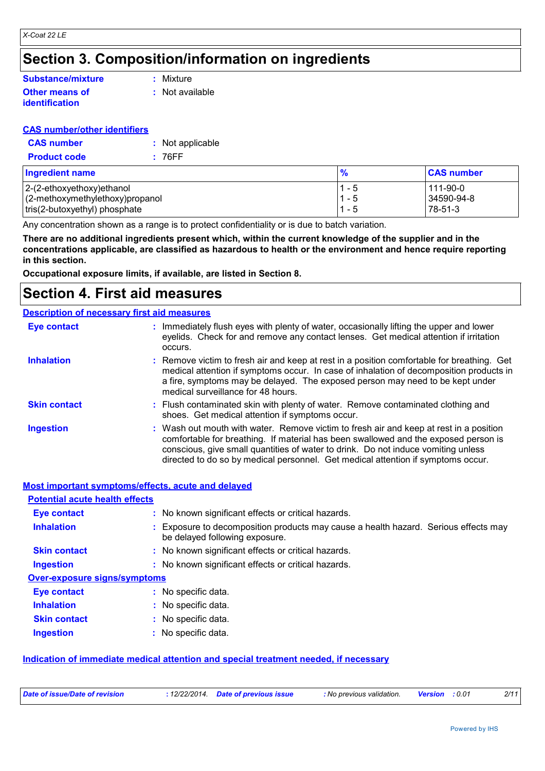# **Section 3. Composition/information on ingredients**

#### **Other means of Substance/mixture**

**identification**

**:** Mixture

**:** Not available

#### **CAS number/other identifiers**

| <b>CAS number</b>   | : Not applicable |
|---------------------|------------------|
| <b>Product code</b> | : 76FF           |

| <b>Ingredient name</b>              | $\frac{9}{6}$ | <b>CAS number</b> |
|-------------------------------------|---------------|-------------------|
| $ 2-(2-ethoxyethoxy)ethanol$        | $1 - 5$       | l 111-90-0        |
| $(2$ -methoxymethylethoxy) propanol | $1 - 5$       | 34590-94-8        |
| tris(2-butoxyethyl) phosphate       | $1 - 5$       | $78-51-3$         |

Any concentration shown as a range is to protect confidentiality or is due to batch variation.

**There are no additional ingredients present which, within the current knowledge of the supplier and in the concentrations applicable, are classified as hazardous to health or the environment and hence require reporting in this section.**

**Occupational exposure limits, if available, are listed in Section 8.**

## **Section 4. First aid measures**

#### **Description of necessary first aid measures**

| <b>Eye contact</b>  | : Immediately flush eyes with plenty of water, occasionally lifting the upper and lower<br>eyelids. Check for and remove any contact lenses. Get medical attention if irritation<br>occurs.                                                                                                                                                            |
|---------------------|--------------------------------------------------------------------------------------------------------------------------------------------------------------------------------------------------------------------------------------------------------------------------------------------------------------------------------------------------------|
| <b>Inhalation</b>   | : Remove victim to fresh air and keep at rest in a position comfortable for breathing. Get<br>medical attention if symptoms occur. In case of inhalation of decomposition products in<br>a fire, symptoms may be delayed. The exposed person may need to be kept under<br>medical surveillance for 48 hours.                                           |
| <b>Skin contact</b> | : Flush contaminated skin with plenty of water. Remove contaminated clothing and<br>shoes. Get medical attention if symptoms occur.                                                                                                                                                                                                                    |
| <b>Ingestion</b>    | : Wash out mouth with water. Remove victim to fresh air and keep at rest in a position<br>comfortable for breathing. If material has been swallowed and the exposed person is<br>conscious, give small quantities of water to drink. Do not induce vomiting unless<br>directed to do so by medical personnel. Get medical attention if symptoms occur. |

#### **Most important symptoms/effects, acute and delayed**

| <b>Potential acute health effects</b> |                                                                                                                     |
|---------------------------------------|---------------------------------------------------------------------------------------------------------------------|
| <b>Eye contact</b>                    | : No known significant effects or critical hazards.                                                                 |
| <b>Inhalation</b>                     | Exposure to decomposition products may cause a health hazard. Serious effects may<br>be delayed following exposure. |
| <b>Skin contact</b>                   | : No known significant effects or critical hazards.                                                                 |
| <b>Ingestion</b>                      | : No known significant effects or critical hazards.                                                                 |
| <b>Over-exposure signs/symptoms</b>   |                                                                                                                     |
| <b>Eye contact</b>                    | : No specific data.                                                                                                 |
| <b>Inhalation</b>                     | : No specific data.                                                                                                 |
| <b>Skin contact</b>                   | : No specific data.                                                                                                 |
| <b>Ingestion</b>                      | No specific data.                                                                                                   |

#### **Indication of immediate medical attention and special treatment needed, if necessary**

| Date of issue/Date of revision<br>: 12/22/2014. Date of previous issue<br>: No previous validation.<br><b>Version</b> : 0.01 |  |  |  |  |  |  | 2/11 |
|------------------------------------------------------------------------------------------------------------------------------|--|--|--|--|--|--|------|
|------------------------------------------------------------------------------------------------------------------------------|--|--|--|--|--|--|------|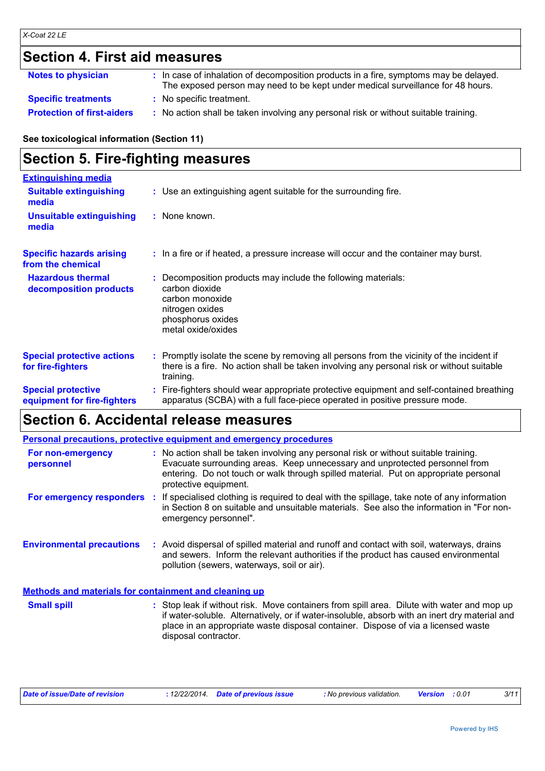# **Section 4. First aid measures**

| <b>Notes to physician</b>         | : In case of inhalation of decomposition products in a fire, symptoms may be delayed.<br>The exposed person may need to be kept under medical surveillance for 48 hours. |
|-----------------------------------|--------------------------------------------------------------------------------------------------------------------------------------------------------------------------|
| <b>Specific treatments</b>        | : No specific treatment.                                                                                                                                                 |
| <b>Protection of first-aiders</b> | : No action shall be taken involving any personal risk or without suitable training.                                                                                     |

#### **See toxicological information (Section 11)**

# **Section 5. Fire-fighting measures**

| <b>Extinguishing media</b>                               |                                                                                                                                                                                                     |
|----------------------------------------------------------|-----------------------------------------------------------------------------------------------------------------------------------------------------------------------------------------------------|
| <b>Suitable extinguishing</b><br>media                   | : Use an extinguishing agent suitable for the surrounding fire.                                                                                                                                     |
| <b>Unsuitable extinguishing</b><br>media                 | : None known.                                                                                                                                                                                       |
| <b>Specific hazards arising</b><br>from the chemical     | : In a fire or if heated, a pressure increase will occur and the container may burst.                                                                                                               |
| <b>Hazardous thermal</b><br>decomposition products       | Decomposition products may include the following materials:<br>carbon dioxide<br>carbon monoxide<br>nitrogen oxides<br>phosphorus oxides<br>metal oxide/oxides                                      |
| <b>Special protective actions</b><br>for fire-fighters   | : Promptly isolate the scene by removing all persons from the vicinity of the incident if<br>there is a fire. No action shall be taken involving any personal risk or without suitable<br>training. |
| <b>Special protective</b><br>equipment for fire-fighters | : Fire-fighters should wear appropriate protective equipment and self-contained breathing<br>apparatus (SCBA) with a full face-piece operated in positive pressure mode.                            |

# **Section 6. Accidental release measures**

|                                                              | <b>Personal precautions, protective equipment and emergency procedures</b>                                                                                                                                                                                                                               |
|--------------------------------------------------------------|----------------------------------------------------------------------------------------------------------------------------------------------------------------------------------------------------------------------------------------------------------------------------------------------------------|
| For non-emergency<br>personnel                               | : No action shall be taken involving any personal risk or without suitable training.<br>Evacuate surrounding areas. Keep unnecessary and unprotected personnel from<br>entering. Do not touch or walk through spilled material. Put on appropriate personal<br>protective equipment.                     |
| For emergency responders                                     | If specialised clothing is required to deal with the spillage, take note of any information<br>÷.<br>in Section 8 on suitable and unsuitable materials. See also the information in "For non-<br>emergency personnel".                                                                                   |
| <b>Environmental precautions</b>                             | : Avoid dispersal of spilled material and runoff and contact with soil, waterways, drains<br>and sewers. Inform the relevant authorities if the product has caused environmental<br>pollution (sewers, waterways, soil or air).                                                                          |
| <b>Methods and materials for containment and cleaning up</b> |                                                                                                                                                                                                                                                                                                          |
| <b>Small spill</b>                                           | : Stop leak if without risk. Move containers from spill area. Dilute with water and mop up<br>if water-soluble. Alternatively, or if water-insoluble, absorb with an inert dry material and<br>place in an appropriate waste disposal container. Dispose of via a licensed waste<br>disposal contractor. |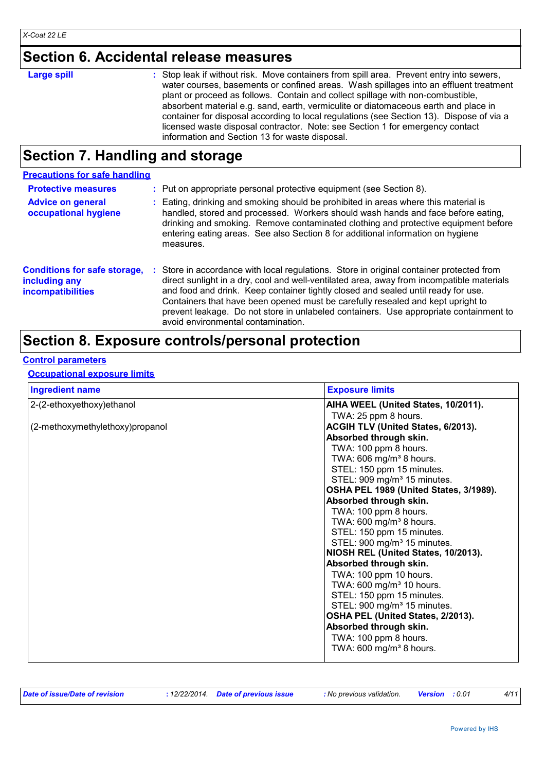# **Section 6. Accidental release measures**

| <b>Large spill</b> | : Stop leak if without risk. Move containers from spill area. Prevent entry into sewers,<br>water courses, basements or confined areas. Wash spillages into an effluent treatment<br>plant or proceed as follows. Contain and collect spillage with non-combustible,                                               |
|--------------------|--------------------------------------------------------------------------------------------------------------------------------------------------------------------------------------------------------------------------------------------------------------------------------------------------------------------|
|                    | absorbent material e.g. sand, earth, vermiculite or diatomaceous earth and place in<br>container for disposal according to local regulations (see Section 13). Dispose of via a<br>licensed waste disposal contractor. Note: see Section 1 for emergency contact<br>information and Section 13 for waste disposal. |

# **Section 7. Handling and storage**

| <b>Precautions for safe handling</b>                                             |    |                                                                                                                                                                                                                                                                                                                                                                                                                                                                                            |
|----------------------------------------------------------------------------------|----|--------------------------------------------------------------------------------------------------------------------------------------------------------------------------------------------------------------------------------------------------------------------------------------------------------------------------------------------------------------------------------------------------------------------------------------------------------------------------------------------|
| <b>Protective measures</b>                                                       |    | : Put on appropriate personal protective equipment (see Section 8).                                                                                                                                                                                                                                                                                                                                                                                                                        |
| <b>Advice on general</b><br>occupational hygiene                                 |    | : Eating, drinking and smoking should be prohibited in areas where this material is<br>handled, stored and processed. Workers should wash hands and face before eating,<br>drinking and smoking. Remove contaminated clothing and protective equipment before<br>entering eating areas. See also Section 8 for additional information on hygiene<br>measures.                                                                                                                              |
| <b>Conditions for safe storage,</b><br>including any<br><b>incompatibilities</b> | ÷. | Store in accordance with local regulations. Store in original container protected from<br>direct sunlight in a dry, cool and well-ventilated area, away from incompatible materials<br>and food and drink. Keep container tightly closed and sealed until ready for use.<br>Containers that have been opened must be carefully resealed and kept upright to<br>prevent leakage. Do not store in unlabeled containers. Use appropriate containment to<br>avoid environmental contamination. |

# **Section 8. Exposure controls/personal protection**

#### **Control parameters**

#### **Occupational exposure limits**

| <b>Exposure limits</b>                  |
|-----------------------------------------|
| AIHA WEEL (United States, 10/2011).     |
| TWA: 25 ppm 8 hours.                    |
| ACGIH TLV (United States, 6/2013).      |
| Absorbed through skin.                  |
| TWA: 100 ppm 8 hours.                   |
| TWA: 606 mg/m <sup>3</sup> 8 hours.     |
| STEL: 150 ppm 15 minutes.               |
| STEL: 909 mg/m <sup>3</sup> 15 minutes. |
| OSHA PEL 1989 (United States, 3/1989).  |
| Absorbed through skin.                  |
| TWA: 100 ppm 8 hours.                   |
| TWA: 600 mg/m <sup>3</sup> 8 hours.     |
| STEL: 150 ppm 15 minutes.               |
| STEL: 900 mg/m <sup>3</sup> 15 minutes. |
| NIOSH REL (United States, 10/2013).     |
| Absorbed through skin.                  |
| TWA: 100 ppm 10 hours.                  |
| TWA: 600 mg/m <sup>3</sup> 10 hours.    |
| STEL: 150 ppm 15 minutes.               |
| STEL: 900 mg/m <sup>3</sup> 15 minutes. |
| OSHA PEL (United States, 2/2013).       |
| Absorbed through skin.                  |
| TWA: 100 ppm 8 hours.                   |
| TWA: $600 \text{ mg/m}^3$ 8 hours.      |
|                                         |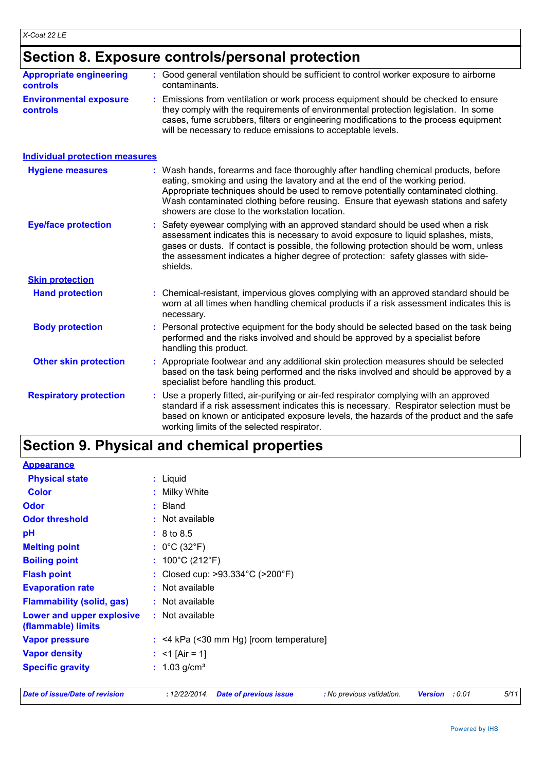## **Section 8. Exposure controls/personal protection**

| <b>Appropriate engineering</b><br><b>controls</b> |                                                                                                                                                                                                                                                                                                                                                                                                 | : Good general ventilation should be sufficient to control worker exposure to airborne<br>contaminants.                                                                                                                                                                                                                                                          |  |
|---------------------------------------------------|-------------------------------------------------------------------------------------------------------------------------------------------------------------------------------------------------------------------------------------------------------------------------------------------------------------------------------------------------------------------------------------------------|------------------------------------------------------------------------------------------------------------------------------------------------------------------------------------------------------------------------------------------------------------------------------------------------------------------------------------------------------------------|--|
| <b>Environmental exposure</b><br><b>controls</b>  |                                                                                                                                                                                                                                                                                                                                                                                                 | Emissions from ventilation or work process equipment should be checked to ensure<br>they comply with the requirements of environmental protection legislation. In some<br>cases, fume scrubbers, filters or engineering modifications to the process equipment<br>will be necessary to reduce emissions to acceptable levels.                                    |  |
| <b>Individual protection measures</b>             |                                                                                                                                                                                                                                                                                                                                                                                                 |                                                                                                                                                                                                                                                                                                                                                                  |  |
| <b>Hygiene measures</b>                           | Wash hands, forearms and face thoroughly after handling chemical products, before<br>eating, smoking and using the lavatory and at the end of the working period.<br>Appropriate techniques should be used to remove potentially contaminated clothing.<br>Wash contaminated clothing before reusing. Ensure that eyewash stations and safety<br>showers are close to the workstation location. |                                                                                                                                                                                                                                                                                                                                                                  |  |
| <b>Eye/face protection</b>                        |                                                                                                                                                                                                                                                                                                                                                                                                 | Safety eyewear complying with an approved standard should be used when a risk<br>assessment indicates this is necessary to avoid exposure to liquid splashes, mists,<br>gases or dusts. If contact is possible, the following protection should be worn, unless<br>the assessment indicates a higher degree of protection: safety glasses with side-<br>shields. |  |
| <b>Skin protection</b>                            |                                                                                                                                                                                                                                                                                                                                                                                                 |                                                                                                                                                                                                                                                                                                                                                                  |  |
| <b>Hand protection</b>                            |                                                                                                                                                                                                                                                                                                                                                                                                 | : Chemical-resistant, impervious gloves complying with an approved standard should be<br>worn at all times when handling chemical products if a risk assessment indicates this is<br>necessary.                                                                                                                                                                  |  |
| <b>Body protection</b>                            | ÷.                                                                                                                                                                                                                                                                                                                                                                                              | Personal protective equipment for the body should be selected based on the task being<br>performed and the risks involved and should be approved by a specialist before<br>handling this product.                                                                                                                                                                |  |
| <b>Other skin protection</b>                      |                                                                                                                                                                                                                                                                                                                                                                                                 | Appropriate footwear and any additional skin protection measures should be selected<br>based on the task being performed and the risks involved and should be approved by a<br>specialist before handling this product.                                                                                                                                          |  |
| <b>Respiratory protection</b>                     |                                                                                                                                                                                                                                                                                                                                                                                                 | Use a properly fitted, air-purifying or air-fed respirator complying with an approved<br>standard if a risk assessment indicates this is necessary. Respirator selection must be<br>based on known or anticipated exposure levels, the hazards of the product and the safe<br>working limits of the selected respirator.                                         |  |

# **Section 9. Physical and chemical properties**

| <b>Date of issue/Date of revision</b>           | : 12/22/2014.<br><b>Date of previous issue</b><br><b>Version</b><br>: 0.01<br>: No previous validation. | 5/11 |
|-------------------------------------------------|---------------------------------------------------------------------------------------------------------|------|
| <b>Specific gravity</b>                         | : $1.03$ g/cm <sup>3</sup>                                                                              |      |
| <b>Vapor density</b>                            | : $<$ 1 [Air = 1]                                                                                       |      |
| <b>Vapor pressure</b>                           | $:$ <4 kPa (<30 mm Hg) [room temperature]                                                               |      |
| Lower and upper explosive<br>(flammable) limits | : Not available                                                                                         |      |
| <b>Flammability (solid, gas)</b>                | : Not available                                                                                         |      |
| <b>Evaporation rate</b>                         | : Not available                                                                                         |      |
| <b>Flash point</b>                              | : Closed cup: $>93.334^{\circ}$ C ( $>200^{\circ}$ F)                                                   |      |
| <b>Boiling point</b>                            | : $100^{\circ}$ C (212 $^{\circ}$ F)                                                                    |      |
| <b>Melting point</b>                            | : $0^{\circ}$ C (32 $^{\circ}$ F)                                                                       |      |
| pH                                              | : 8 to 8.5                                                                                              |      |
| <b>Odor threshold</b>                           | : Not available                                                                                         |      |
| <b>Odor</b>                                     | : Bland                                                                                                 |      |
| <b>Color</b>                                    | : Milky White                                                                                           |      |
| <b>Physical state</b>                           | : Liquid                                                                                                |      |
| <b>Appearance</b>                               |                                                                                                         |      |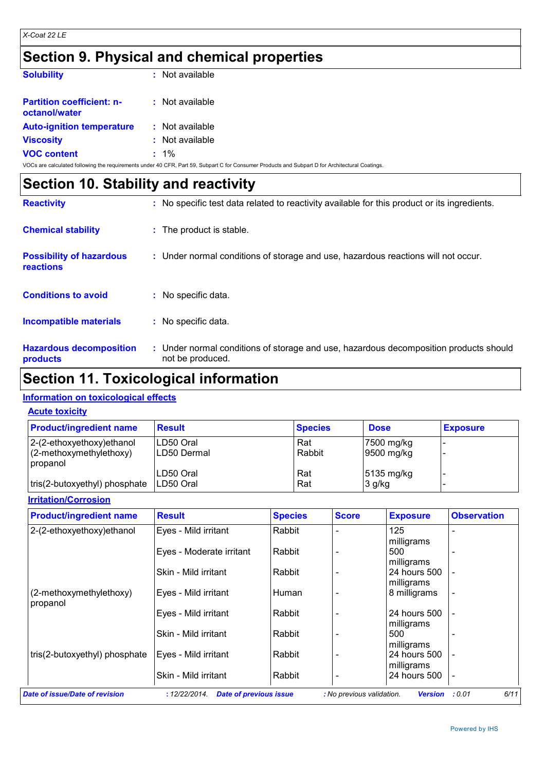# **Section 9. Physical and chemical properties**

| <b>Solubility</b>                                                                            | : Not available |
|----------------------------------------------------------------------------------------------|-----------------|
| <b>Partition coefficient: n-</b><br>octanol/water                                            | : Not available |
| <b>Auto-ignition temperature</b>                                                             | : Not available |
| <b>Viscosity</b>                                                                             | : Not available |
| <b>VOC content</b>                                                                           | $: 1\%$         |
| VOCs are calculated following the requirements under 40 CER. Part 59, Subpart C for Consumer |                 |

| <b>Section 10. Stability and reactivity</b>         |  |                                                                                                           |  |
|-----------------------------------------------------|--|-----------------------------------------------------------------------------------------------------------|--|
| <b>Reactivity</b>                                   |  | : No specific test data related to reactivity available for this product or its ingredients.              |  |
| <b>Chemical stability</b>                           |  | : The product is stable.                                                                                  |  |
| <b>Possibility of hazardous</b><br><b>reactions</b> |  | : Under normal conditions of storage and use, hazardous reactions will not occur.                         |  |
| <b>Conditions to avoid</b>                          |  | : No specific data.                                                                                       |  |
| Incompatible materials                              |  | : No specific data.                                                                                       |  |
| <b>Hazardous decomposition</b><br>products          |  | : Under normal conditions of storage and use, hazardous decomposition products should<br>not be produced. |  |

# **Section 11. Toxicological information**

#### **Information on toxicological effects**

|  | <b>Acute toxicity</b> |
|--|-----------------------|
|--|-----------------------|

| <b>Product/ingredient name</b>      | <b>Result</b> | <b>Species</b> | <b>Dose</b>            | <b>Exposure</b> |
|-------------------------------------|---------------|----------------|------------------------|-----------------|
| 2-(2-ethoxyethoxy) ethanol          | LD50 Oral     | Rat            | 7500 mg/kg             |                 |
| (2-methoxymethylethoxy)<br>propanol | ILD50 Dermal  | Rabbit         | $ 9500 \text{ mg/kg} $ |                 |
|                                     | LD50 Oral     | Rat            | 5135 mg/kg             |                 |
| tris(2-butoxyethyl) phosphate       | ILD50 Oral    | Rat            | $3$ g/kg               |                 |

#### **Irritation/Corrosion**

| <b>Product/ingredient name</b>        | <b>Result</b>                                                          | <b>Species</b> | <b>Score</b>              | <b>Exposure</b>                | <b>Observation</b> |
|---------------------------------------|------------------------------------------------------------------------|----------------|---------------------------|--------------------------------|--------------------|
| 2-(2-ethoxyethoxy)ethanol             | Eyes - Mild irritant                                                   | Rabbit         |                           | 125                            |                    |
|                                       | Eyes - Moderate irritant                                               | Rabbit         |                           | milligrams<br>500              |                    |
|                                       | Skin - Mild irritant                                                   | Rabbit         |                           | milligrams<br>24 hours 500     |                    |
| (2-methoxymethylethoxy)               | Eyes - Mild irritant                                                   | Human          |                           | milligrams<br>8 milligrams     |                    |
| propanol                              | Eyes - Mild irritant                                                   | Rabbit         |                           | 24 hours 500                   |                    |
|                                       | Skin - Mild irritant                                                   | Rabbit         |                           | milligrams<br>500              |                    |
| tris(2-butoxyethyl) phosphate         | Eyes - Mild irritant                                                   | Rabbit         |                           | milligrams<br>24 hours 500     |                    |
|                                       |                                                                        |                |                           | milligrams                     |                    |
| <b>Date of issue/Date of revision</b> | Skin - Mild irritant<br>: 12/22/2014.<br><b>Date of previous issue</b> | Rabbit         | : No previous validation. | 24 hours 500<br><b>Version</b> | 6/11<br>: 0.01     |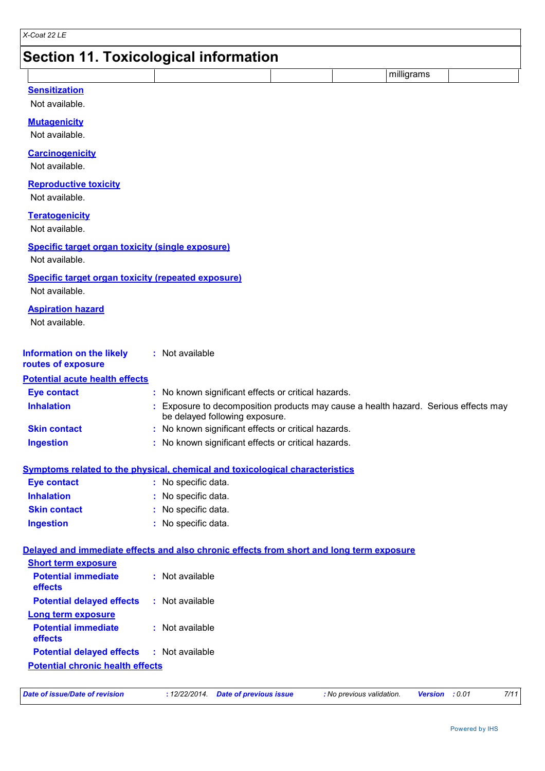# **Section 11. Toxicological information**

|                      |  | .<br>aills. |  |
|----------------------|--|-------------|--|
| <b>Concitization</b> |  |             |  |

|  | ısıuzauor |  |
|--|-----------|--|
|  |           |  |

Not available.

#### **Mutagenicity**

Not available.

#### **Carcinogenicity**

Not available.

#### **Reproductive toxicity**

Not available.

#### **Teratogenicity**

Not available.

#### **Specific target organ toxicity (single exposure)**

Not available.

#### **Specific target organ toxicity (repeated exposure)**

Not available.

#### **Aspiration hazard**

Not available.

| <b>Information on the likely</b> | : Not available |
|----------------------------------|-----------------|
| routes of exposure               |                 |

### **Potential acute health effects**

| <b>Eye contact</b>  | : No known significant effects or critical hazards.                                                                   |
|---------------------|-----------------------------------------------------------------------------------------------------------------------|
| <b>Inhalation</b>   | : Exposure to decomposition products may cause a health hazard. Serious effects may<br>be delayed following exposure. |
| <b>Skin contact</b> | : No known significant effects or critical hazards.                                                                   |
| <b>Ingestion</b>    | : No known significant effects or critical hazards.                                                                   |

#### **Symptoms related to the physical, chemical and toxicological characteristics**

| <b>Eye contact</b>  | : No specific data. |
|---------------------|---------------------|
| <b>Inhalation</b>   | : No specific data. |
| <b>Skin contact</b> | : No specific data. |
| Ingestion           | : No specific data. |

#### **Delayed and immediate effects and also chronic effects from short and long term exposure**

| <b>Short term exposure</b>              |                 |
|-----------------------------------------|-----------------|
| <b>Potential immediate</b><br>effects   | : Not available |
| <b>Potential delayed effects</b>        | : Not available |
| <b>Long term exposure</b>               |                 |
| <b>Potential immediate</b><br>effects   | : Not available |
| <b>Potential delayed effects</b>        | : Not available |
| <b>Potential chronic health effects</b> |                 |

| Date of issue/Date of revision |  | : 12/22/2014 Date of previous issue | : No previous validation. | <b>Version</b> : 0.01 |  | 7/11 |
|--------------------------------|--|-------------------------------------|---------------------------|-----------------------|--|------|
|--------------------------------|--|-------------------------------------|---------------------------|-----------------------|--|------|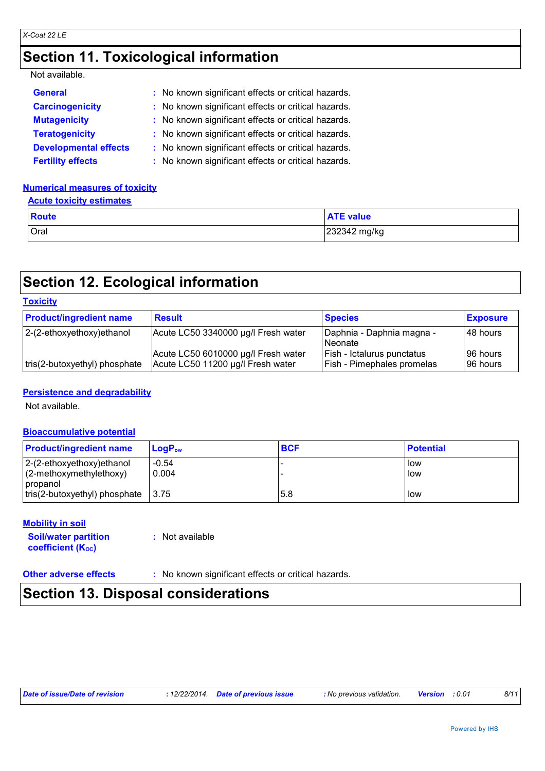# **Section 11. Toxicological information**

#### Not available.

| <b>General</b>               | : No known significant effects or critical hazards. |
|------------------------------|-----------------------------------------------------|
| <b>Carcinogenicity</b>       | : No known significant effects or critical hazards. |
| <b>Mutagenicity</b>          | : No known significant effects or critical hazards. |
| <b>Teratogenicity</b>        | : No known significant effects or critical hazards. |
| <b>Developmental effects</b> | : No known significant effects or critical hazards. |
| <b>Fertility effects</b>     | : No known significant effects or critical hazards. |

#### **Numerical measures of toxicity**

#### **Acute toxicity estimates**

| <b>Route</b> | <b>ATE value</b> |
|--------------|------------------|
| Oral         | 232342 mg/kg     |

# **Section 12. Ecological information**

| <b>Toxicity</b>                |                                                                          |                                                                 |                      |
|--------------------------------|--------------------------------------------------------------------------|-----------------------------------------------------------------|----------------------|
| <b>Product/ingredient name</b> | <b>Result</b>                                                            | <b>Species</b>                                                  | <b>Exposure</b>      |
| $ 2-(2-ethoxyethoxy)ethanol$   | Acute LC50 3340000 µg/l Fresh water                                      | Daphnia - Daphnia magna -<br><b>Neonate</b>                     | 48 hours             |
| tris(2-butoxyethyl) phosphate  | Acute LC50 6010000 µg/l Fresh water<br>Acute LC50 11200 µg/l Fresh water | Fish - Ictalurus punctatus<br><b>Fish - Pimephales promelas</b> | 96 hours<br>96 hours |

#### **Persistence and degradability**

Not available.

#### **Bioaccumulative potential**

| <b>Product/ingredient name</b>                             | $\mathsf{LoaP}_\mathsf{ow}$ | <b>BCF</b> | <b>Potential</b> |
|------------------------------------------------------------|-----------------------------|------------|------------------|
| $ 2-(2-ethoxyethoxy)ethanol$<br>$(2$ -methoxymethylethoxy) | $-0.54$<br>0.004            |            | l low<br>low     |
| <i>c</i> opanol                                            |                             |            |                  |
| $ tris(2-butoxyethyl)$ phosphate $ 3.75 $                  |                             | 5.8        | l low            |

#### **Mobility in soil**

| <b>Soil/water partition</b> | : Not available |
|-----------------------------|-----------------|
| <b>coefficient (Koc)</b>    |                 |

**Other adverse effects** : No known significant effects or critical hazards.

# **Section 13. Disposal considerations**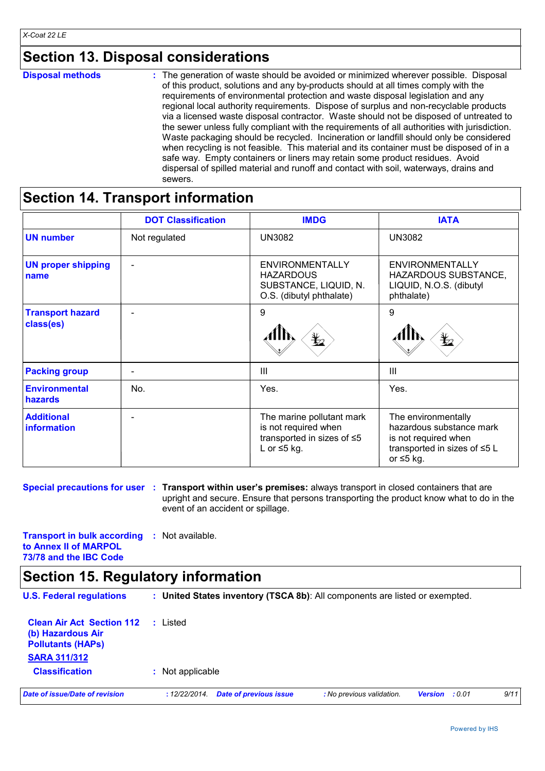# **Section 13. Disposal considerations**

# **Section 14. Transport information**

|                                        | <b>DOT Classification</b> | <b>IMDG</b>                                                                                          | <b>IATA</b>                                                                                                                |
|----------------------------------------|---------------------------|------------------------------------------------------------------------------------------------------|----------------------------------------------------------------------------------------------------------------------------|
| <b>UN number</b>                       | Not regulated             | <b>UN3082</b>                                                                                        | <b>UN3082</b>                                                                                                              |
| <b>UN proper shipping</b><br>name      | $\overline{\phantom{0}}$  | ENVIRONMENTALLY<br><b>HAZARDOUS</b><br>SUBSTANCE, LIQUID, N.<br>O.S. (dibutyl phthalate)             | <b>ENVIRONMENTALLY</b><br>HAZARDOUS SUBSTANCE,<br>LIQUID, N.O.S. (dibutyl<br>phthalate)                                    |
| <b>Transport hazard</b><br>class(es)   | $\overline{\phantom{0}}$  | 9<br>⋭                                                                                               | 9                                                                                                                          |
| <b>Packing group</b>                   | $\blacksquare$            | III                                                                                                  | $\mathbf{III}$                                                                                                             |
| <b>Environmental</b><br><b>hazards</b> | No.                       | Yes.                                                                                                 | Yes.                                                                                                                       |
| <b>Additional</b><br>information       | $\overline{\phantom{0}}$  | The marine pollutant mark<br>is not required when<br>transported in sizes of ≤5<br>L or $\leq$ 5 kg. | The environmentally<br>hazardous substance mark<br>is not required when<br>transported in sizes of ≤5 L<br>or $\leq$ 5 kg. |

**Special precautions for user : Transport within user's premises: always transport in closed containers that are** upright and secure. Ensure that persons transporting the product know what to do in the event of an accident or spillage.

**Transport in bulk according :** Not available. **to Annex II of MARPOL 73/78 and the IBC Code**

# **Section 15. Regulatory information**

| <b>U.S. Federal regulations</b>                                                                          |                  |                               | : United States inventory (TSCA 8b): All components are listed or exempted. |         |       |      |
|----------------------------------------------------------------------------------------------------------|------------------|-------------------------------|-----------------------------------------------------------------------------|---------|-------|------|
| <b>Clean Air Act Section 112</b><br>(b) Hazardous Air<br><b>Pollutants (HAPS)</b><br><b>SARA 311/312</b> | Listed           |                               |                                                                             |         |       |      |
| <b>Classification</b>                                                                                    | : Not applicable |                               |                                                                             |         |       |      |
| Date of issue/Date of revision                                                                           | : 12/22/2014.    | <b>Date of previous issue</b> | : No previous validation.                                                   | Version | :0.01 | 9/11 |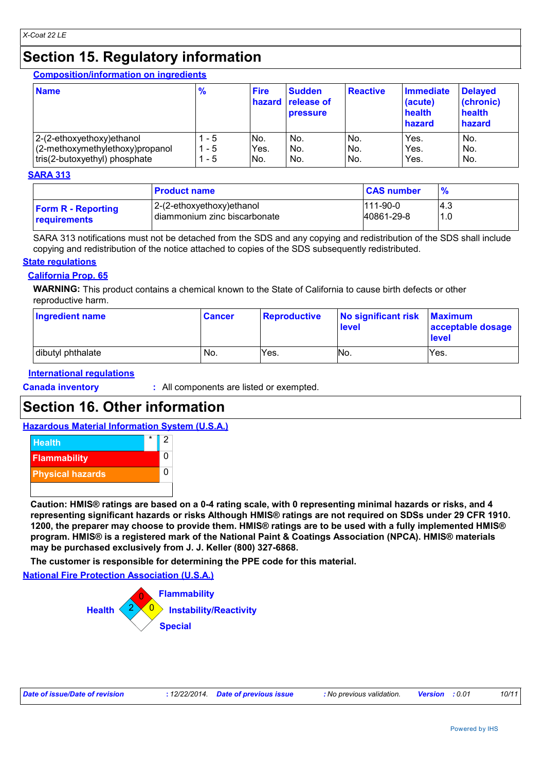# **Section 15. Regulatory information**

**Composition/information on ingredients**

| <b>Name</b>                     | $\frac{9}{6}$ | <b>Fire</b> | <b>Sudden</b><br>hazard release of<br><b>pressure</b> | Reactive | <b>Immediate</b><br>(acute)<br>health<br>hazard | <b>Delayed</b><br>(chronic)<br>health<br>hazard |
|---------------------------------|---------------|-------------|-------------------------------------------------------|----------|-------------------------------------------------|-------------------------------------------------|
| 2-(2-ethoxyethoxy) ethanol      | - 5           | No.         | No.                                                   | No.      | Yes.                                            | No.                                             |
| (2-methoxymethylethoxy)propanol | - 5           | Yes.        | No.                                                   | No.      | Yes.                                            | No.                                             |
| tris(2-butoxyethyl) phosphate   | - 5           | INo.        | No.                                                   | No.      | Yes.                                            | No.                                             |

#### **SARA 313**

|                           | <b>Product name</b>          | <b>CAS number</b> |      |
|---------------------------|------------------------------|-------------------|------|
| <b>Form R - Reporting</b> | 2-(2-ethoxyethoxy)ethanol    | $111-90-0$        | l4.3 |
| <b>requirements</b>       | diammonium zinc biscarbonate | 40861-29-8        | 1.0  |

SARA 313 notifications must not be detached from the SDS and any copying and redistribution of the SDS shall include copying and redistribution of the notice attached to copies of the SDS subsequently redistributed.

#### **State regulations**

#### **California Prop. 65**

**WARNING:** This product contains a chemical known to the State of California to cause birth defects or other reproductive harm.

| <b>Ingredient name</b> | <b>Cancer</b> | <b>Reproductive</b> | No significant risk<br><b>level</b> | <b>Maximum</b><br>acceptable dosage<br>level |
|------------------------|---------------|---------------------|-------------------------------------|----------------------------------------------|
| dibutyl phthalate      | No.           | Yes.                | N <sub>O</sub>                      | Yes.                                         |

#### **International regulations**

**Canada inventory :** All components are listed or exempted.

# **Section 16. Other information**

#### **Hazardous Material Information System (U.S.A.)**



**Caution: HMIS® ratings are based on a 0-4 rating scale, with 0 representing minimal hazards or risks, and 4 representing significant hazards or risks Although HMIS® ratings are not required on SDSs under 29 CFR 1910. 1200, the preparer may choose to provide them. HMIS® ratings are to be used with a fully implemented HMIS® program. HMIS® is a registered mark of the National Paint & Coatings Association (NPCA). HMIS® materials may be purchased exclusively from J. J. Keller (800) 327-6868.**

**The customer is responsible for determining the PPE code for this material.**

#### **National Fire Protection Association (U.S.A.)**